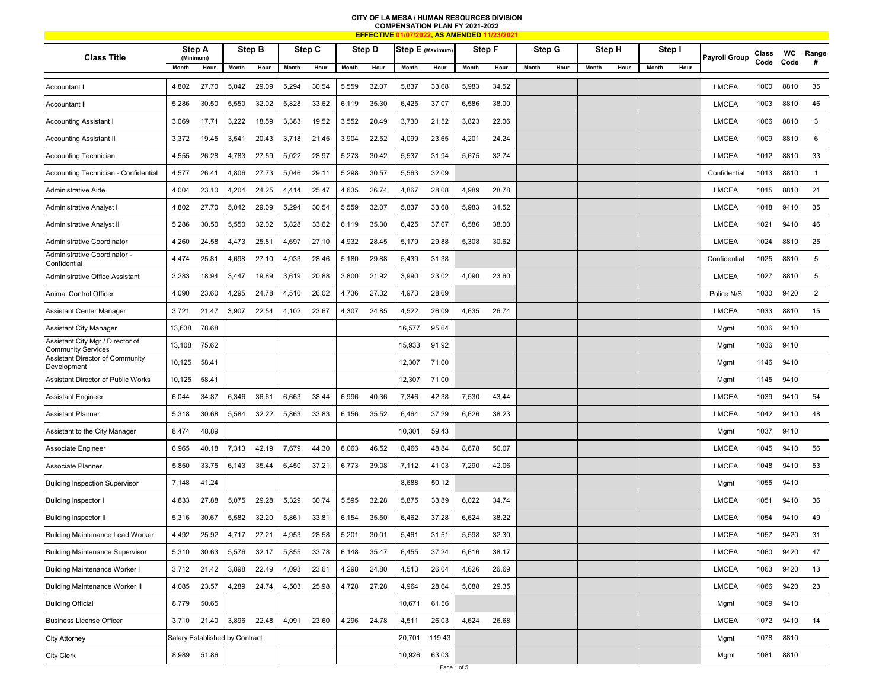## **CITY OF LA MESA / HUMAN RESOURCES DIVISION COMPENSATION PLAN FY 2021-2022**

|                                                               |                                |       |             | <b>EFFECTIVE</b> |       |        | <u>', AS AMENDED 11.</u> |        |                  |        |        |       |        |      |        |      |        |      |                      |               |            |                |
|---------------------------------------------------------------|--------------------------------|-------|-------------|------------------|-------|--------|--------------------------|--------|------------------|--------|--------|-------|--------|------|--------|------|--------|------|----------------------|---------------|------------|----------------|
| <b>Class Title</b>                                            | Step A<br>(Minimum)            |       |             | Step B           |       | Step C |                          | Step D | Step E (Maximum) |        | Step F |       | Step G |      | Step H |      | Step I |      | <b>Payroll Group</b> | Class<br>Code | WC<br>Code | Range<br>#     |
|                                                               | Month                          | Hour  | Month       | Hour             | Month | Hour   | Month                    | Hour   | Month            | Hour   | Month  | Hour  | Month  | Hour | Month  | Hour | Month  | Hour |                      |               |            |                |
| Accountant I                                                  | 4,802                          | 27.70 | 5,042       | 29.09            | 5,294 | 30.54  | 5,559                    | 32.07  | 5,837            | 33.68  | 5,983  | 34.52 |        |      |        |      |        |      | <b>LMCEA</b>         | 1000          | 8810       | 35             |
| Accountant II                                                 | 5,286                          | 30.50 | 5,550       | 32.02            | 5,828 | 33.62  | 6,119                    | 35.30  | 6,425            | 37.07  | 6,586  | 38.00 |        |      |        |      |        |      | <b>LMCEA</b>         | 1003          | 8810       | 46             |
| <b>Accounting Assistant I</b>                                 | 3,069                          | 17.71 | 3,222       | 18.59            | 3,383 | 19.52  | 3,552                    | 20.49  | 3,730            | 21.52  | 3,823  | 22.06 |        |      |        |      |        |      | <b>LMCEA</b>         | 1006          | 8810       | 3              |
| <b>Accounting Assistant II</b>                                | 3,372                          | 19.45 | 3,541       | 20.43            | 3,718 | 21.45  | 3,904                    | 22.52  | 4,099            | 23.65  | 4,201  | 24.24 |        |      |        |      |        |      | <b>LMCEA</b>         | 1009          | 8810       | 6              |
| Accounting Technician                                         | 4,555                          | 26.28 | 4,783       | 27.59            | 5,022 | 28.97  | 5,273                    | 30.42  | 5,537            | 31.94  | 5,675  | 32.74 |        |      |        |      |        |      | <b>LMCEA</b>         | 1012          | 8810       | 33             |
| Accounting Technician - Confidential                          | 4,577                          | 26.41 | 4,806       | 27.73            | 5,046 | 29.11  | 5,298                    | 30.57  | 5,563            | 32.09  |        |       |        |      |        |      |        |      | Confidential         | 1013          | 8810       | $\overline{1}$ |
| <b>Administrative Aide</b>                                    | 4,004                          | 23.10 | 4,204       | 24.25            | 4,414 | 25.47  | 4,635                    | 26.74  | 4,867            | 28.08  | 4,989  | 28.78 |        |      |        |      |        |      | <b>LMCEA</b>         | 1015          | 8810       | 21             |
| Administrative Analyst                                        | 4,802                          | 27.70 | 5,042       | 29.09            | 5,294 | 30.54  | 5,559                    | 32.07  | 5,837            | 33.68  | 5,983  | 34.52 |        |      |        |      |        |      | <b>LMCEA</b>         | 1018          | 9410       | 35             |
| Administrative Analyst II                                     | 5,286                          | 30.50 | 5,550       | 32.02            | 5,828 | 33.62  | 6,119                    | 35.30  | 6,425            | 37.07  | 6,586  | 38.00 |        |      |        |      |        |      | <b>LMCEA</b>         | 1021          | 9410       | 46             |
| Administrative Coordinator                                    | 4,260                          | 24.58 | 4,473       | 25.81            | 4,697 | 27.10  | 4,932                    | 28.45  | 5,179            | 29.88  | 5,308  | 30.62 |        |      |        |      |        |      | <b>LMCEA</b>         | 1024          | 8810       | 25             |
| Administrative Coordinator -<br>Confidential                  | 4,474                          | 25.81 | 4,698       | 27.10            | 4,933 | 28.46  | 5,180                    | 29.88  | 5,439            | 31.38  |        |       |        |      |        |      |        |      | Confidential         | 1025          | 8810       | 5              |
| Administrative Office Assistant                               | 3,283                          | 18.94 | 3,447       | 19.89            | 3,619 | 20.88  | 3,800                    | 21.92  | 3,990            | 23.02  | 4,090  | 23.60 |        |      |        |      |        |      | <b>LMCEA</b>         | 1027          | 8810       | 5              |
| Animal Control Officer                                        | 4,090                          | 23.60 | 4,295       | 24.78            | 4,510 | 26.02  | 4,736                    | 27.32  | 4,973            | 28.69  |        |       |        |      |        |      |        |      | Police N/S           | 1030          | 9420       | $\overline{2}$ |
| Assistant Center Manager                                      | 3,721                          | 21.47 | 3,907       | 22.54            | 4,102 | 23.67  | 4,307                    | 24.85  | 4,522            | 26.09  | 4,635  | 26.74 |        |      |        |      |        |      | <b>LMCEA</b>         | 1033          | 8810       | 15             |
| <b>Assistant City Manager</b>                                 | 13,638                         | 78.68 |             |                  |       |        |                          |        | 16,577           | 95.64  |        |       |        |      |        |      |        |      | Mgmt                 | 1036          | 9410       |                |
| Assistant City Mgr / Director of<br><b>Community Services</b> | 13,108                         | 75.62 |             |                  |       |        |                          |        | 15,933           | 91.92  |        |       |        |      |        |      |        |      | Mgmt                 | 1036          | 9410       |                |
| Assistant Director of Community<br>Development                | 10,125                         | 58.41 |             |                  |       |        |                          |        | 12,307           | 71.00  |        |       |        |      |        |      |        |      | Mgmt                 | 1146          | 9410       |                |
| Assistant Director of Public Works                            | 10,125                         | 58.41 |             |                  |       |        |                          |        | 12,307           | 71.00  |        |       |        |      |        |      |        |      | Mgmt                 | 1145          | 9410       |                |
| <b>Assistant Engineer</b>                                     | 6,044                          | 34.87 | 6,346       | 36.61            | 6,663 | 38.44  | 6,996                    | 40.36  | 7,346            | 42.38  | 7,530  | 43.44 |        |      |        |      |        |      | <b>LMCEA</b>         | 1039          | 9410       | 54             |
| <b>Assistant Planner</b>                                      | 5,318                          | 30.68 | 5,584       | 32.22            | 5,863 | 33.83  | 6,156                    | 35.52  | 6,464            | 37.29  | 6,626  | 38.23 |        |      |        |      |        |      | <b>LMCEA</b>         | 1042          | 9410       | 48             |
| Assistant to the City Manager                                 | 8,474                          | 48.89 |             |                  |       |        |                          |        | 10,301           | 59.43  |        |       |        |      |        |      |        |      | Mgmt                 | 1037          | 9410       |                |
| Associate Engineer                                            | 6,965                          | 40.18 | 7,313       | 42.19            | 7,679 | 44.30  | 8,063                    | 46.52  | 8,466            | 48.84  | 8,678  | 50.07 |        |      |        |      |        |      | <b>LMCEA</b>         | 1045          | 9410       | 56             |
| Associate Planner                                             | 5,850                          | 33.75 | 6,143       | 35.44            | 6,450 | 37.21  | 6,773                    | 39.08  | 7,112            | 41.03  | 7,290  | 42.06 |        |      |        |      |        |      | <b>LMCEA</b>         | 1048          | 9410       | 53             |
| <b>Building Inspection Supervisor</b>                         | 7,148                          | 41.24 |             |                  |       |        |                          |        | 8,688            | 50.12  |        |       |        |      |        |      |        |      | Mgmt                 | 1055          | 9410       |                |
| <b>Building Inspector I</b>                                   | 4,833                          | 27.88 | 5,075       | 29.28            | 5,329 | 30.74  | 5,595                    | 32.28  | 5,875            | 33.89  | 6,022  | 34.74 |        |      |        |      |        |      | <b>LMCEA</b>         | 1051          | 9410       | 36             |
| <b>Building Inspector II</b>                                  | 5,316                          | 30.67 | 5,582       | 32.20            | 5,861 | 33.81  | 6,154                    | 35.50  | 6,462            | 37.28  | 6,624  | 38.22 |        |      |        |      |        |      | <b>LMCEA</b>         | 1054          | 9410       | 49             |
| <b>Building Maintenance Lead Worker</b>                       | 4,492                          | 25.92 | 4,717       | 27.21            | 4,953 | 28.58  | 5,201                    | 30.01  | 5,461            | 31.51  | 5,598  | 32.30 |        |      |        |      |        |      | LMCEA                | 1057          | 9420       | 31             |
| <b>Building Maintenance Supervisor</b>                        | 5,310                          | 30.63 | 5,576       | 32.17            | 5,855 | 33.78  | 6,148                    | 35.47  | 6,455            | 37.24  | 6,616  | 38.17 |        |      |        |      |        |      | <b>LMCEA</b>         | 1060          | 9420       | 47             |
| <b>Building Maintenance Worker I</b>                          | 3,712                          | 21.42 | 3,898       | 22.49            | 4,093 | 23.61  | 4,298                    | 24.80  | 4,513            | 26.04  | 4,626  | 26.69 |        |      |        |      |        |      | <b>LMCEA</b>         | 1063          | 9420       | 13             |
| <b>Building Maintenance Worker II</b>                         | 4,085                          | 23.57 | 4,289       | 24.74            | 4,503 | 25.98  | 4,728                    | 27.28  | 4,964            | 28.64  | 5,088  | 29.35 |        |      |        |      |        |      | <b>LMCEA</b>         | 1066          | 9420       | 23             |
| <b>Building Official</b>                                      | 8,779                          | 50.65 |             |                  |       |        |                          |        | 10,671           | 61.56  |        |       |        |      |        |      |        |      | Mgmt                 | 1069          | 9410       |                |
| <b>Business License Officer</b>                               | 3,710                          | 21.40 | 3,896 22.48 |                  | 4,091 | 23.60  | 4,296                    | 24.78  | 4,511            | 26.03  | 4,624  | 26.68 |        |      |        |      |        |      | <b>LMCEA</b>         | 1072          | 9410       | 14             |
| <b>City Attorney</b>                                          | Salary Established by Contract |       |             |                  |       |        |                          |        | 20,701           | 119.43 |        |       |        |      |        |      |        |      | Mgmt                 | 1078          | 8810       |                |
| City Clerk                                                    | 8,989 51.86                    |       |             |                  |       |        |                          |        | 10,926           | 63.03  |        |       |        |      |        |      |        |      | Mgmt                 |               | 1081 8810  |                |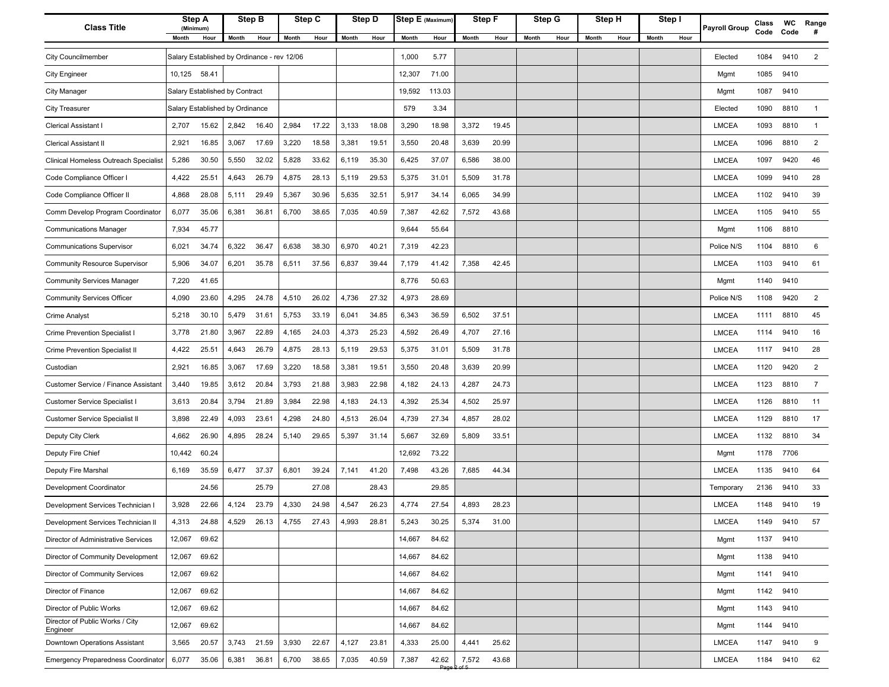| <b>Class Title</b>                          | Step A                          |       | Step B<br>(Minimum) |                                             | Step C |                      |       | Step D | Step E (Maximum) |        | Step F |       | Step G |      | Step H |      | Step I        | Payroll Group | Class | WC   | Range          |
|---------------------------------------------|---------------------------------|-------|---------------------|---------------------------------------------|--------|----------------------|-------|--------|------------------|--------|--------|-------|--------|------|--------|------|---------------|---------------|-------|------|----------------|
|                                             | Month                           | Hour  | Month               | Hour                                        |        | <b>Month</b><br>Hour |       | Hour   | <b>Month</b>     | Hour   | Month  | Hour  | Month  | Hour | Month  | Hour | Month<br>Hour |               | Code  | Code | #              |
| <b>City Councilmember</b>                   |                                 |       |                     | Salary Established by Ordinance - rev 12/06 |        |                      |       |        | 1,000            | 5.77   |        |       |        |      |        |      |               | Elected       | 1084  | 9410 | 2              |
| <b>City Engineer</b>                        | 10,125 58.41                    |       |                     |                                             |        |                      |       |        | 12,307           | 71.00  |        |       |        |      |        |      |               | Mgmt          | 1085  | 9410 |                |
| City Manager                                | Salary Established by Contract  |       |                     |                                             |        |                      |       |        | 19,592           | 113.03 |        |       |        |      |        |      |               | Mgmt          | 1087  | 9410 |                |
| <b>City Treasurer</b>                       | Salary Established by Ordinance |       |                     |                                             |        |                      |       |        | 579              | 3.34   |        |       |        |      |        |      |               | Elected       | 1090  | 8810 | $\overline{1}$ |
| <b>Clerical Assistant I</b>                 | 2,707                           | 15.62 | 2,842               | 16.40                                       | 2,984  | 17.22                | 3,133 | 18.08  | 3,290            | 18.98  | 3,372  | 19.45 |        |      |        |      |               | LMCEA         | 1093  | 8810 | $\overline{1}$ |
| <b>Clerical Assistant II</b>                | 2,921                           | 16.85 | 3,067               | 17.69                                       | 3,220  | 18.58                | 3,381 | 19.51  | 3,550            | 20.48  | 3,639  | 20.99 |        |      |        |      |               | <b>LMCEA</b>  | 1096  | 8810 | $\overline{2}$ |
| Clinical Homeless Outreach Specialist       | 5,286                           | 30.50 | 5,550               | 32.02                                       | 5,828  | 33.62                | 6,119 | 35.30  | 6,425            | 37.07  | 6,586  | 38.00 |        |      |        |      |               | <b>LMCEA</b>  | 1097  | 9420 | 46             |
| Code Compliance Officer I                   | 4,422                           | 25.51 | 4,643               | 26.79                                       | 4,875  | 28.13                | 5,119 | 29.53  | 5,375            | 31.01  | 5,509  | 31.78 |        |      |        |      |               | <b>LMCEA</b>  | 1099  | 9410 | 28             |
| Code Compliance Officer II                  | 4,868                           | 28.08 | 5,111               | 29.49                                       | 5,367  | 30.96                | 5,635 | 32.51  | 5,917            | 34.14  | 6,065  | 34.99 |        |      |        |      |               | <b>LMCEA</b>  | 1102  | 9410 | 39             |
| Comm Develop Program Coordinator            | 6,077                           | 35.06 | 6,381               | 36.81                                       | 6,700  | 38.65                | 7,035 | 40.59  | 7,387            | 42.62  | 7,572  | 43.68 |        |      |        |      |               | <b>LMCEA</b>  | 1105  | 9410 | 55             |
| <b>Communications Manager</b>               | 7,934                           | 45.77 |                     |                                             |        |                      |       |        | 9,644            | 55.64  |        |       |        |      |        |      |               | Mgmt          | 1106  | 8810 |                |
| <b>Communications Supervisor</b>            | 6,021                           | 34.74 | 6,322               | 36.47                                       | 6,638  | 38.30                | 6,970 | 40.21  | 7,319            | 42.23  |        |       |        |      |        |      |               | Police N/S    | 1104  | 8810 | 6              |
| <b>Community Resource Supervisor</b>        | 5,906                           | 34.07 | 6,201               | 35.78                                       | 6,511  | 37.56                | 6,837 | 39.44  | 7,179            | 41.42  | 7,358  | 42.45 |        |      |        |      |               | <b>LMCEA</b>  | 1103  | 9410 | 61             |
| <b>Community Services Manager</b>           | 7,220                           | 41.65 |                     |                                             |        |                      |       |        | 8,776            | 50.63  |        |       |        |      |        |      |               | Mgmt          | 1140  | 9410 |                |
| <b>Community Services Officer</b>           | 4,090                           | 23.60 | 4,295               | 24.78                                       | 4,510  | 26.02                | 4,736 | 27.32  | 4,973            | 28.69  |        |       |        |      |        |      |               | Police N/S    | 1108  | 9420 | $\overline{2}$ |
| <b>Crime Analyst</b>                        | 5,218                           | 30.10 | 5,479               | 31.61                                       | 5,753  | 33.19                | 6,041 | 34.85  | 6,343            | 36.59  | 6,502  | 37.51 |        |      |        |      |               | <b>LMCEA</b>  | 1111  | 8810 | 45             |
| Crime Prevention Specialist I               | 3,778                           | 21.80 | 3,967               | 22.89                                       | 4,165  | 24.03                | 4,373 | 25.23  | 4,592            | 26.49  | 4,707  | 27.16 |        |      |        |      |               | <b>LMCEA</b>  | 1114  | 9410 | 16             |
| <b>Crime Prevention Specialist II</b>       | 4,422                           | 25.51 | 4,643               | 26.79                                       | 4,875  | 28.13                | 5,119 | 29.53  | 5,375            | 31.01  | 5,509  | 31.78 |        |      |        |      |               | <b>LMCEA</b>  | 1117  | 9410 | 28             |
| Custodian                                   | 2,921                           | 16.85 | 3,067               | 17.69                                       | 3,220  | 18.58                | 3,381 | 19.51  | 3,550            | 20.48  | 3,639  | 20.99 |        |      |        |      |               | <b>LMCEA</b>  | 1120  | 9420 | $\overline{2}$ |
| Customer Service / Finance Assistant        | 3,440                           | 19.85 | 3,612               | 20.84                                       | 3,793  | 21.88                | 3,983 | 22.98  | 4,182            | 24.13  | 4,287  | 24.73 |        |      |        |      |               | <b>LMCEA</b>  | 1123  | 8810 | $\overline{7}$ |
| <b>Customer Service Specialist I</b>        | 3,613                           | 20.84 | 3,794               | 21.89                                       | 3,984  | 22.98                | 4,183 | 24.13  | 4,392            | 25.34  | 4,502  | 25.97 |        |      |        |      |               | <b>LMCEA</b>  | 1126  | 8810 | 11             |
| <b>Customer Service Specialist II</b>       | 3,898                           | 22.49 | 4,093               | 23.61                                       | 4,298  | 24.80                | 4,513 | 26.04  | 4,739            | 27.34  | 4,857  | 28.02 |        |      |        |      |               | <b>LMCEA</b>  | 1129  | 8810 | 17             |
| Deputy City Clerk                           | 4,662                           | 26.90 | 4,895               | 28.24                                       | 5,140  | 29.65                | 5,397 | 31.14  | 5,667            | 32.69  | 5,809  | 33.51 |        |      |        |      |               | <b>LMCEA</b>  | 1132  | 8810 | 34             |
| Deputy Fire Chief                           | 10,442                          | 60.24 |                     |                                             |        |                      |       |        | 12,692           | 73.22  |        |       |        |      |        |      |               | Mgmt          | 1178  | 7706 |                |
| Deputy Fire Marshal                         | 6,169                           | 35.59 | 6,477               | 37.37                                       | 6,801  | 39.24                | 7,141 | 41.20  | 7,498            | 43.26  | 7,685  | 44.34 |        |      |        |      |               | <b>LMCEA</b>  | 1135  | 9410 | 64             |
| Development Coordinator                     |                                 | 24.56 |                     | 25.79                                       |        | 27.08                |       | 28.43  |                  | 29.85  |        |       |        |      |        |      |               | Temporary     | 2136  | 9410 | 33             |
| Development Services Technician I           | 3,928                           | 22.66 | 4,124               | 23.79                                       | 4,330  | 24.98                | 4,547 | 26.23  | 4,774            | 27.54  | 4,893  | 28.23 |        |      |        |      |               | <b>LMCEA</b>  | 1148  | 9410 | 19             |
| Development Services Technician II          | 4,313                           | 24.88 |                     | 4,529 26.13                                 | 4,755  | 27.43                | 4,993 | 28.81  | 5,243            | 30.25  | 5,374  | 31.00 |        |      |        |      |               | <b>LMCEA</b>  | 1149  | 9410 | 57             |
| Director of Administrative Services         | 12,067                          | 69.62 |                     |                                             |        |                      |       |        | 14,667           | 84.62  |        |       |        |      |        |      |               | Mgmt          | 1137  | 9410 |                |
| Director of Community Development           | 12,067                          | 69.62 |                     |                                             |        |                      |       |        | 14,667           | 84.62  |        |       |        |      |        |      |               | Mgmt          | 1138  | 9410 |                |
| Director of Community Services              | 12,067                          | 69.62 |                     |                                             |        |                      |       |        | 14,667           | 84.62  |        |       |        |      |        |      |               | Mgmt          | 1141  | 9410 |                |
| Director of Finance                         | 12,067                          | 69.62 |                     |                                             |        |                      |       |        | 14,667           | 84.62  |        |       |        |      |        |      |               | Mgmt          | 1142  | 9410 |                |
| Director of Public Works                    | 12,067                          | 69.62 |                     |                                             |        |                      |       |        | 14,667           | 84.62  |        |       |        |      |        |      |               | Mgmt          | 1143  | 9410 |                |
| Director of Public Works / City<br>Engineer | 12,067                          | 69.62 |                     |                                             |        |                      |       |        | 14,667           | 84.62  |        |       |        |      |        |      |               | Mgmt          | 1144  | 9410 |                |
| Downtown Operations Assistant               | 3,565                           | 20.57 |                     | 3,743 21.59                                 | 3,930  | 22.67                | 4,127 | 23.81  | 4,333            | 25.00  | 4,441  | 25.62 |        |      |        |      |               | <b>LMCEA</b>  | 1147  | 9410 | 9              |
| <b>Emergency Preparedness Coordinator</b>   | 6,077                           | 35.06 | 6,381               | 36.81                                       | 6,700  | 38.65                | 7,035 | 40.59  | 7,387            | 42.62  | 7,572  | 43.68 |        |      |        |      |               | <b>LMCEA</b>  | 1184  | 9410 | 62             |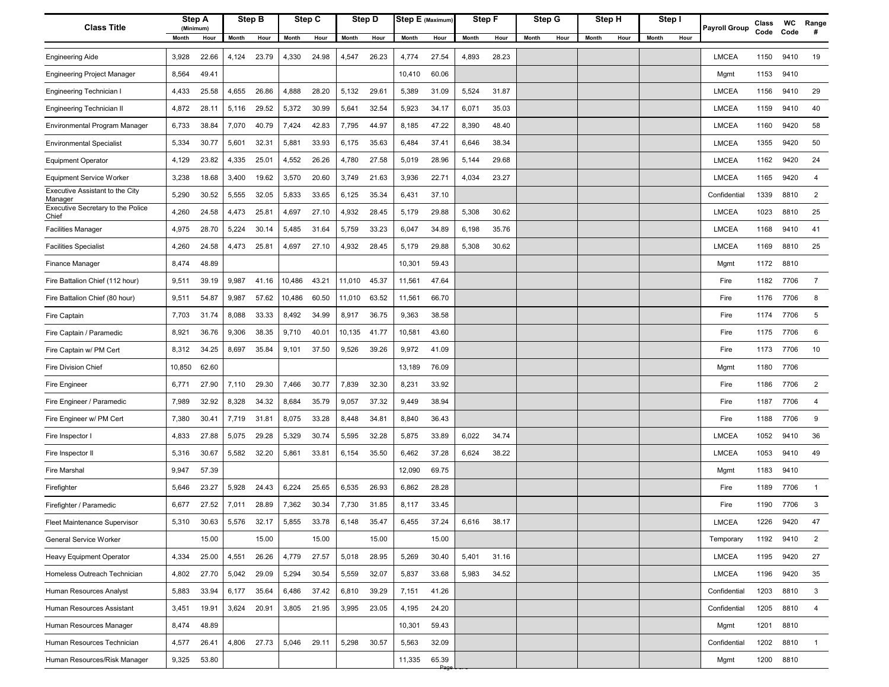| <b>Class Title</b>                         | Step A<br>(Minimum) | Step B         |       | Step C |       |        | Step D | Step E (Maximum) |       | Step F |       | Step G        | Step H |      | Step I        | <b>Payroll Group</b> | Class | <b>WC</b> | Range          |
|--------------------------------------------|---------------------|----------------|-------|--------|-------|--------|--------|------------------|-------|--------|-------|---------------|--------|------|---------------|----------------------|-------|-----------|----------------|
|                                            | Month<br>Hour       | Month          | Hour  | Month  | Hour  | Month  | Hour   | Month            | Hour  | Month  | Hour  | Month<br>Hour | Month  | Hour | Month<br>Hour |                      | Code  | Code      | #              |
| <b>Engineering Aide</b>                    | 3,928<br>22.66      | 4,124<br>23.79 |       | 4,330  | 24.98 | 4,547  | 26.23  | 4,774            | 27.54 | 4,893  | 28.23 |               |        |      |               | <b>LMCEA</b>         | 1150  | 9410      | 19             |
| <b>Engineering Project Manager</b>         | 8,564<br>49.41      |                |       |        |       |        |        | 10,410           | 60.06 |        |       |               |        |      |               | Mgmt                 | 1153  | 9410      |                |
| Engineering Technician I                   | 4,433<br>25.58      | 4,655<br>26.86 |       | 4,888  | 28.20 | 5,132  | 29.61  | 5,389            | 31.09 | 5,524  | 31.87 |               |        |      |               | LMCEA                | 1156  | 9410      | 29             |
| Engineering Technician II                  | 28.11<br>4,872      | 5,116          | 29.52 | 5,372  | 30.99 | 5,641  | 32.54  | 5,923            | 34.17 | 6,071  | 35.03 |               |        |      |               | <b>LMCEA</b>         | 1159  | 9410      | 40             |
| Environmental Program Manager              | 6,733<br>38.84      | 7,070<br>40.79 |       | 7,424  | 42.83 | 7,795  | 44.97  | 8,185            | 47.22 | 8,390  | 48.40 |               |        |      |               | <b>LMCEA</b>         | 1160  | 9420      | 58             |
| <b>Environmental Specialist</b>            | 5,334<br>30.77      | 5,601<br>32.31 |       | 5,881  | 33.93 | 6,175  | 35.63  | 6,484            | 37.41 | 6,646  | 38.34 |               |        |      |               | <b>LMCEA</b>         | 1355  | 9420      | 50             |
| <b>Equipment Operator</b>                  | 4,129<br>23.82      | 4,335<br>25.01 |       | 4,552  | 26.26 | 4,780  | 27.58  | 5,019            | 28.96 | 5,144  | 29.68 |               |        |      |               | <b>LMCEA</b>         | 1162  | 9420      | 24             |
| <b>Equipment Service Worker</b>            | 3,238<br>18.68      | 3,400          | 19.62 | 3,570  | 20.60 | 3,749  | 21.63  | 3,936            | 22.71 | 4,034  | 23.27 |               |        |      |               | <b>LMCEA</b>         | 1165  | 9420      | $\overline{4}$ |
| Executive Assistant to the City<br>Manager | 30.52<br>5,290      | 5,555<br>32.05 |       | 5,833  | 33.65 | 6,125  | 35.34  | 6,431            | 37.10 |        |       |               |        |      |               | Confidential         | 1339  | 8810      | 2              |
| Executive Secretary to the Police<br>Chief | 24.58<br>4,260      | 4,473<br>25.81 |       | 4,697  | 27.10 | 4,932  | 28.45  | 5,179            | 29.88 | 5,308  | 30.62 |               |        |      |               | <b>LMCEA</b>         | 1023  | 8810      | 25             |
| <b>Facilities Manager</b>                  | 4,975<br>28.70      | 30.14<br>5,224 |       | 5,485  | 31.64 | 5,759  | 33.23  | 6,047            | 34.89 | 6,198  | 35.76 |               |        |      |               | <b>LMCEA</b>         | 1168  | 9410      | 41             |
| <b>Facilities Specialist</b>               | 4,260<br>24.58      | 4,473<br>25.81 |       | 4,697  | 27.10 | 4,932  | 28.45  | 5,179            | 29.88 | 5,308  | 30.62 |               |        |      |               | LMCEA                | 1169  | 8810      | 25             |
| Finance Manager                            | 8,474<br>48.89      |                |       |        |       |        |        | 10,301           | 59.43 |        |       |               |        |      |               | Mgmt                 | 1172  | 8810      |                |
| Fire Battalion Chief (112 hour)            | 9,511<br>39.19      | 9,987<br>41.16 |       | 10,486 | 43.21 | 11,010 | 45.37  | 11,561           | 47.64 |        |       |               |        |      |               | Fire                 | 1182  | 7706      | $\overline{7}$ |
| Fire Battalion Chief (80 hour)             | 54.87<br>9,511      | 9,987          | 57.62 | 10,486 | 60.50 | 11,010 | 63.52  | 11,561           | 66.70 |        |       |               |        |      |               | Fire                 | 1176  | 7706      | 8              |
| Fire Captain                               | 7,703<br>31.74      | 8,088<br>33.33 |       | 8,492  | 34.99 | 8,917  | 36.75  | 9,363            | 38.58 |        |       |               |        |      |               | Fire                 | 1174  | 7706      | 5              |
| Fire Captain / Paramedic                   | 8,921<br>36.76      | 9,306          | 38.35 | 9,710  | 40.01 | 10,135 | 41.77  | 10,581           | 43.60 |        |       |               |        |      |               | Fire                 | 1175  | 7706      | 6              |
| Fire Captain w/ PM Cert                    | 34.25<br>8,312      | 35.84<br>8,697 |       | 9,101  | 37.50 | 9,526  | 39.26  | 9,972            | 41.09 |        |       |               |        |      |               | Fire                 | 1173  | 7706      | 10             |
| Fire Division Chief                        | 62.60<br>10,850     |                |       |        |       |        |        | 13,189           | 76.09 |        |       |               |        |      |               | Mgmt                 | 1180  | 7706      |                |
| Fire Engineer                              | 27.90<br>6,771      | 29.30<br>7,110 |       | 7,466  | 30.77 | 7,839  | 32.30  | 8,231            | 33.92 |        |       |               |        |      |               | Fire                 | 1186  | 7706      | 2              |
| Fire Engineer / Paramedic                  | 7,989<br>32.92      | 8,328<br>34.32 |       | 8,684  | 35.79 | 9,057  | 37.32  | 9,449            | 38.94 |        |       |               |        |      |               | Fire                 | 1187  | 7706      | 4              |
| Fire Engineer w/ PM Cert                   | 7,380<br>30.41      | 7,719<br>31.81 |       | 8,075  | 33.28 | 8,448  | 34.81  | 8,840            | 36.43 |        |       |               |        |      |               | Fire                 | 1188  | 7706      | 9              |
| Fire Inspector I                           | 4,833<br>27.88      | 5,075<br>29.28 |       | 5,329  | 30.74 | 5,595  | 32.28  | 5,875            | 33.89 | 6,022  | 34.74 |               |        |      |               | <b>LMCEA</b>         | 1052  | 9410      | 36             |
| Fire Inspector II                          | 30.67<br>5,316      | 32.20<br>5,582 |       | 5,861  | 33.81 | 6,154  | 35.50  | 6,462            | 37.28 | 6,624  | 38.22 |               |        |      |               | <b>LMCEA</b>         | 1053  | 9410      | 49             |
| Fire Marshal                               | 57.39<br>9,947      |                |       |        |       |        |        | 12,090           | 69.75 |        |       |               |        |      |               | Mgmt                 | 1183  | 9410      |                |
| Firefighter                                | 5,646<br>23.27      | 5,928<br>24.43 |       | 6,224  | 25.65 | 6,535  | 26.93  | 6,862            | 28.28 |        |       |               |        |      |               | Fire                 | 1189  | 7706      | $\overline{1}$ |
| Firefighter / Paramedic                    | 6,677<br>27.52      | 7,011<br>28.89 |       | 7,362  | 30.34 | 7,730  | 31.85  | 8,117            | 33.45 |        |       |               |        |      |               | Fire                 | 1190  | 7706      | 3              |
| Fleet Maintenance Supervisor               | 30.63<br>5,310      | 5,576<br>32.17 |       | 5,855  | 33.78 | 6,148  | 35.47  | 6,455            | 37.24 | 6,616  | 38.17 |               |        |      |               | <b>LMCEA</b>         | 1226  | 9420      | 47             |
| General Service Worker                     | 15.00               |                | 15.00 |        | 15.00 |        | 15.00  |                  | 15.00 |        |       |               |        |      |               | Temporary            | 1192  | 9410      | $\overline{2}$ |
| Heavy Equipment Operator                   | 4,334<br>25.00      | 4,551          | 26.26 | 4,779  | 27.57 | 5,018  | 28.95  | 5,269            | 30.40 | 5,401  | 31.16 |               |        |      |               | <b>LMCEA</b>         | 1195  | 9420      | 27             |
| Homeless Outreach Technician               | 4,802<br>27.70      | 29.09<br>5,042 |       | 5,294  | 30.54 | 5,559  | 32.07  | 5,837            | 33.68 | 5,983  | 34.52 |               |        |      |               | <b>LMCEA</b>         | 1196  | 9420      | 35             |
| Human Resources Analyst                    | 5,883<br>33.94      | 6,177<br>35.64 |       | 6,486  | 37.42 | 6,810  | 39.29  | 7,151            | 41.26 |        |       |               |        |      |               | Confidential         | 1203  | 8810      | 3              |
| Human Resources Assistant                  | 3,451<br>19.91      | 3,624<br>20.91 |       | 3,805  | 21.95 | 3,995  | 23.05  | 4,195            | 24.20 |        |       |               |        |      |               | Confidential         | 1205  | 8810      | $\overline{4}$ |
| Human Resources Manager                    | 8,474<br>48.89      |                |       |        |       |        |        | 10,301           | 59.43 |        |       |               |        |      |               | Mgmt                 | 1201  | 8810      |                |
| Human Resources Technician                 | 4,577<br>26.41      | 4,806 27.73    |       | 5,046  | 29.11 | 5,298  | 30.57  | 5,563            | 32.09 |        |       |               |        |      |               | Confidential         | 1202  | 8810      | $\overline{1}$ |
| Human Resources/Risk Manager               | 9,325<br>53.80      |                |       |        |       |        |        | 11,335           | 65.39 |        |       |               |        |      |               | Mgmt                 | 1200  | 8810      |                |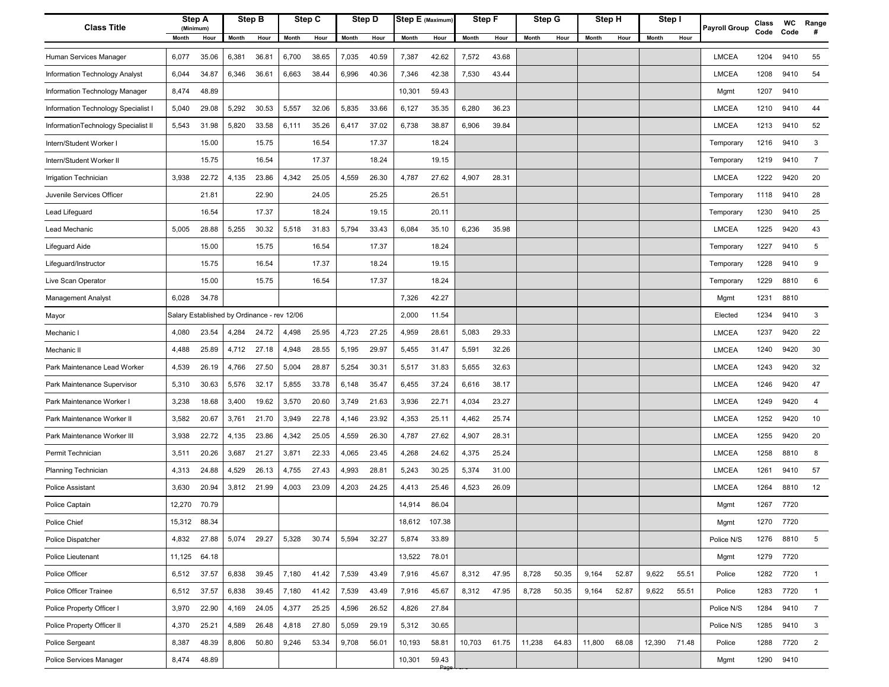| <b>Class Title</b>                  | Step A<br>(Minimum)                         |       | Step B |       | Step C |       | Step D | Step E (Maximum) |                         | Step F |       | Step G |       | Step H |       | Step I |       | <b>Payroll Group</b> | Class | <b>WC</b> | Range          |
|-------------------------------------|---------------------------------------------|-------|--------|-------|--------|-------|--------|------------------|-------------------------|--------|-------|--------|-------|--------|-------|--------|-------|----------------------|-------|-----------|----------------|
|                                     | Month<br>Hour                               | Month | Hour   | Month | Hour   | Month | Hour   | Month            | Hour                    | Month  | Hour  | Month  | Hour  | Month  | Hour  | Month  | Hour  |                      | Code  | Code      | #              |
| Human Services Manager              | 6,077<br>35.06                              | 6,381 | 36.81  | 6,700 | 38.65  | 7,035 | 40.59  | 7,387            | 42.62                   | 7,572  | 43.68 |        |       |        |       |        |       | <b>LMCEA</b>         | 1204  | 9410      | 55             |
| Information Technology Analyst      | 6,044<br>34.87                              | 6,346 | 36.61  | 6,663 | 38.44  | 6,996 | 40.36  | 7,346            | 42.38                   | 7,530  | 43.44 |        |       |        |       |        |       | <b>LMCEA</b>         | 1208  | 9410      | 54             |
| Information Technology Manager      | 48.89<br>8,474                              |       |        |       |        |       |        | 10,301           | 59.43                   |        |       |        |       |        |       |        |       | Mgmt                 | 1207  | 9410      |                |
| Information Technology Specialist I | 29.08<br>5,040                              | 5,292 | 30.53  | 5,557 | 32.06  | 5,835 | 33.66  | 6,127            | 35.35                   | 6,280  | 36.23 |        |       |        |       |        |       | <b>LMCEA</b>         | 1210  | 9410      | 44             |
| InformationTechnology Specialist II | 5,543<br>31.98                              | 5,820 | 33.58  | 6,111 | 35.26  | 6,417 | 37.02  | 6,738            | 38.87                   | 6,906  | 39.84 |        |       |        |       |        |       | <b>LMCEA</b>         | 1213  | 9410      | 52             |
| Intern/Student Worker I             | 15.00                                       |       | 15.75  |       | 16.54  |       | 17.37  |                  | 18.24                   |        |       |        |       |        |       |        |       | Temporary            | 1216  | 9410      | 3              |
| Intern/Student Worker II            | 15.75                                       |       | 16.54  |       | 17.37  |       | 18.24  |                  | 19.15                   |        |       |        |       |        |       |        |       | Temporary            | 1219  | 9410      | $\overline{7}$ |
| Irrigation Technician               | 3,938<br>22.72                              | 4,135 | 23.86  | 4,342 | 25.05  | 4,559 | 26.30  | 4,787            | 27.62                   | 4,907  | 28.31 |        |       |        |       |        |       | <b>LMCEA</b>         | 1222  | 9420      | 20             |
| Juvenile Services Officer           | 21.81                                       |       | 22.90  |       | 24.05  |       | 25.25  |                  | 26.51                   |        |       |        |       |        |       |        |       | Temporary            | 1118  | 9410      | 28             |
| Lead Lifeguard                      | 16.54                                       |       | 17.37  |       | 18.24  |       | 19.15  |                  | 20.11                   |        |       |        |       |        |       |        |       | Temporary            | 1230  | 9410      | 25             |
| Lead Mechanic                       | 5,005<br>28.88                              | 5,255 | 30.32  | 5,518 | 31.83  | 5,794 | 33.43  | 6,084            | 35.10                   | 6,236  | 35.98 |        |       |        |       |        |       | <b>LMCEA</b>         | 1225  | 9420      | 43             |
| Lifeguard Aide                      | 15.00                                       |       | 15.75  |       | 16.54  |       | 17.37  |                  | 18.24                   |        |       |        |       |        |       |        |       | Temporary            | 1227  | 9410      | 5              |
| Lifeguard/Instructor                | 15.75                                       |       | 16.54  |       | 17.37  |       | 18.24  |                  | 19.15                   |        |       |        |       |        |       |        |       | Temporary            | 1228  | 9410      | 9              |
| Live Scan Operator                  | 15.00                                       |       | 15.75  |       | 16.54  |       | 17.37  |                  | 18.24                   |        |       |        |       |        |       |        |       | Temporary            | 1229  | 8810      | 6              |
| <b>Management Analyst</b>           | 34.78<br>6,028                              |       |        |       |        |       |        | 7,326            | 42.27                   |        |       |        |       |        |       |        |       | Mgmt                 | 1231  | 8810      |                |
| Mayor                               | Salary Established by Ordinance - rev 12/06 |       |        |       |        |       |        | 2,000            | 11.54                   |        |       |        |       |        |       |        |       | Elected              | 1234  | 9410      | 3              |
| Mechanic I                          | 4,080<br>23.54                              | 4,284 | 24.72  | 4,498 | 25.95  | 4,723 | 27.25  | 4,959            | 28.61                   | 5,083  | 29.33 |        |       |        |       |        |       | <b>LMCEA</b>         | 1237  | 9420      | 22             |
| Mechanic II                         | 25.89<br>4,488                              | 4,712 | 27.18  | 4,948 | 28.55  | 5,195 | 29.97  | 5,455            | 31.47                   | 5,591  | 32.26 |        |       |        |       |        |       | <b>LMCEA</b>         | 1240  | 9420      | 30             |
| Park Maintenance Lead Worker        | 26.19<br>4,539                              | 4,766 | 27.50  | 5,004 | 28.87  | 5,254 | 30.31  | 5,517            | 31.83                   | 5,655  | 32.63 |        |       |        |       |        |       | <b>LMCEA</b>         | 1243  | 9420      | 32             |
| Park Maintenance Supervisor         | 30.63<br>5,310                              | 5,576 | 32.17  | 5,855 | 33.78  | 6,148 | 35.47  | 6,455            | 37.24                   | 6,616  | 38.17 |        |       |        |       |        |       | LMCEA                | 1246  | 9420      | 47             |
| Park Maintenance Worker I           | 3,238<br>18.68                              | 3,400 | 19.62  | 3,570 | 20.60  | 3,749 | 21.63  | 3,936            | 22.71                   | 4,034  | 23.27 |        |       |        |       |        |       | <b>LMCEA</b>         | 1249  | 9420      | 4              |
| Park Maintenance Worker II          | 20.67<br>3,582                              | 3,761 | 21.70  | 3,949 | 22.78  | 4,146 | 23.92  | 4,353            | 25.11                   | 4,462  | 25.74 |        |       |        |       |        |       | <b>LMCEA</b>         | 1252  | 9420      | 10             |
| Park Maintenance Worker III         | 22.72<br>3,938                              | 4,135 | 23.86  | 4,342 | 25.05  | 4,559 | 26.30  | 4,787            | 27.62                   | 4,907  | 28.31 |        |       |        |       |        |       | <b>LMCEA</b>         | 1255  | 9420      | 20             |
| Permit Technician                   | 20.26<br>3,511                              | 3,687 | 21.27  | 3,871 | 22.33  | 4,065 | 23.45  | 4,268            | 24.62                   | 4,375  | 25.24 |        |       |        |       |        |       | <b>LMCEA</b>         | 1258  | 8810      | 8              |
| <b>Planning Technician</b>          | 24.88<br>4,313                              | 4,529 | 26.13  | 4,755 | 27.43  | 4,993 | 28.81  | 5,243            | 30.25                   | 5,374  | 31.00 |        |       |        |       |        |       | <b>LMCEA</b>         | 1261  | 9410      | 57             |
| <b>Police Assistant</b>             | 3,630<br>20.94                              | 3,812 | 21.99  | 4,003 | 23.09  | 4,203 | 24.25  | 4,413            | 25.46                   | 4,523  | 26.09 |        |       |        |       |        |       | <b>LMCEA</b>         | 1264  | 8810      | 12             |
| Police Captain                      | 12,270 70.79                                |       |        |       |        |       |        | 14,914           | 86.04                   |        |       |        |       |        |       |        |       | Mgmt                 | 1267  | 7720      |                |
| Police Chief                        | 15,312 88.34                                |       |        |       |        |       |        | 18,612           | 107.38                  |        |       |        |       |        |       |        |       | Mgmt                 | 1270  | 7720      |                |
| Police Dispatcher                   | 4,832<br>27.88                              | 5,074 | 29.27  | 5,328 | 30.74  | 5,594 | 32.27  | 5,874            | 33.89                   |        |       |        |       |        |       |        |       | Police N/S           | 1276  | 8810      | 5              |
| Police Lieutenant                   | 11,125<br>64.18                             |       |        |       |        |       |        | 13,522           | 78.01                   |        |       |        |       |        |       |        |       | Mgmt                 | 1279  | 7720      |                |
| Police Officer                      | 6,512<br>37.57                              | 6,838 | 39.45  | 7,180 | 41.42  | 7,539 | 43.49  | 7,916            | 45.67                   | 8,312  | 47.95 | 8,728  | 50.35 | 9,164  | 52.87 | 9,622  | 55.51 | Police               | 1282  | 7720      | $\overline{1}$ |
| Police Officer Trainee              | 6,512<br>37.57                              | 6,838 | 39.45  | 7,180 | 41.42  | 7,539 | 43.49  | 7,916            | 45.67                   | 8,312  | 47.95 | 8,728  | 50.35 | 9,164  | 52.87 | 9,622  | 55.51 | Police               | 1283  | 7720      | $\overline{1}$ |
| Police Property Officer I           | 3,970<br>22.90                              | 4,169 | 24.05  | 4,377 | 25.25  | 4,596 | 26.52  | 4,826            | 27.84                   |        |       |        |       |        |       |        |       | Police N/S           | 1284  | 9410      | $\overline{7}$ |
| Police Property Officer II          | 4,370<br>25.21                              | 4,589 | 26.48  | 4,818 | 27.80  | 5,059 | 29.19  | 5,312            | 30.65                   |        |       |        |       |        |       |        |       | Police N/S           | 1285  | 9410      | 3              |
| Police Sergeant                     | 48.39<br>8,387                              | 8,806 | 50.80  | 9,246 | 53.34  | 9,708 | 56.01  | 10,193           | 58.81                   | 10,703 | 61.75 | 11,238 | 64.83 | 11,800 | 68.08 | 12,390 | 71.48 | Police               | 1288  | 7720      | $\overline{2}$ |
| Police Services Manager             | 8,474<br>48.89                              |       |        |       |        |       |        | 10,301           | 59.43<br>P <sub>2</sub> |        |       |        |       |        |       |        |       | Mgmt                 | 1290  | 9410      |                |